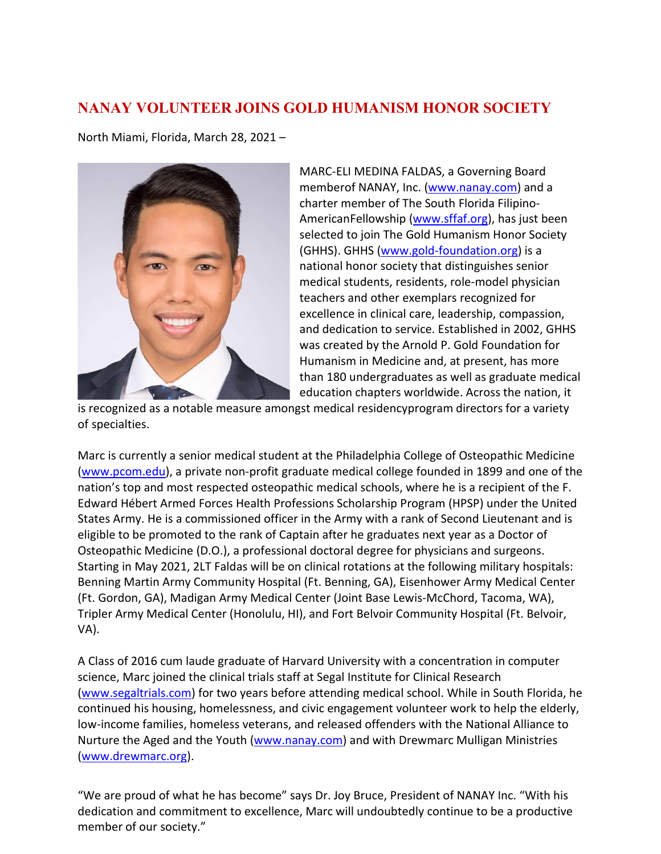## **NANAY VOLUNTEER JOINS GOLD HUMANISM HONOR SOCIETY**

North Miami, Florida, March 28, 2021 –



MARC-ELI MEDINA FALDAS, a Governing Board memberof NANAY, Inc. [\(www.nanay.com\)](http://www.nanay.com/) and a charter member of The South Florida Filipino-AmericanFellowship [\(www.sffaf.org\)](http://www.sffaf.org/), has just been selected to join The Gold Humanism Honor Society (GHHS). GHHS [\(www.gold-foundation.org\)](http://www.gold-foundation.org/) is a national honor society that distinguishes senior medical students, residents, role-model physician teachers and other exemplars recognized for excellence in clinical care, leadership, compassion, and dedication to service. Established in 2002, GHHS was created by the Arnold P. Gold Foundation for Humanism in Medicine and, at present, has more than 180 undergraduates as well as graduate medical education chapters worldwide. Across the nation, it

is recognized as a notable measure amongst medical residencyprogram directors for a variety of specialties.

Marc is currently a senior medical student at the Philadelphia College of Osteopathic Medicine [\(www.pcom.edu\)](http://www.pcom.edu/), a private non-profit graduate medical college founded in 1899 and one of the nation's top and most respected osteopathic medical schools, where he is a recipient of the F. Edward Hébert Armed Forces Health Professions Scholarship Program (HPSP) under the United States Army. He is a commissioned officer in the Army with a rank of Second Lieutenant and is eligible to be promoted to the rank of Captain after he graduates next year as a Doctor of Osteopathic Medicine (D.O.), a professional doctoral degree for physicians and surgeons. Starting in May 2021, 2LT Faldas will be on clinical rotations at the following military hospitals: Benning Martin Army Community Hospital (Ft. Benning, GA), Eisenhower Army Medical Center (Ft. Gordon, GA), Madigan Army Medical Center (Joint Base Lewis-McChord, Tacoma, WA), Tripler Army Medical Center (Honolulu, HI), and Fort Belvoir Community Hospital (Ft. Belvoir, VA).

A Class of 2016 cum laude graduate of Harvard University with a concentration in computer science, Marc joined the clinical trials staff at Segal Institute for Clinical Research [\(www.segaltrials.com\)](http://www.segaltrials.com/) for two years before attending medical school. While in South Florida, he continued his housing, homelessness, and civic engagement volunteer work to help the elderly, low-income families, homeless veterans, and released offenders with the National Alliance to Nurture the Aged and the Youth [\(www.nanay.com\)](http://www.nanay.com/) and with Drewmarc Mulligan Ministries [\(www.drewmarc.org\)](http://www.drewmarc.org/).

"We are proud of what he has become" says Dr. Joy Bruce, President of NANAY Inc. "With his dedication and commitment to excellence, Marc will undoubtedly continue to be a productive member of our society."